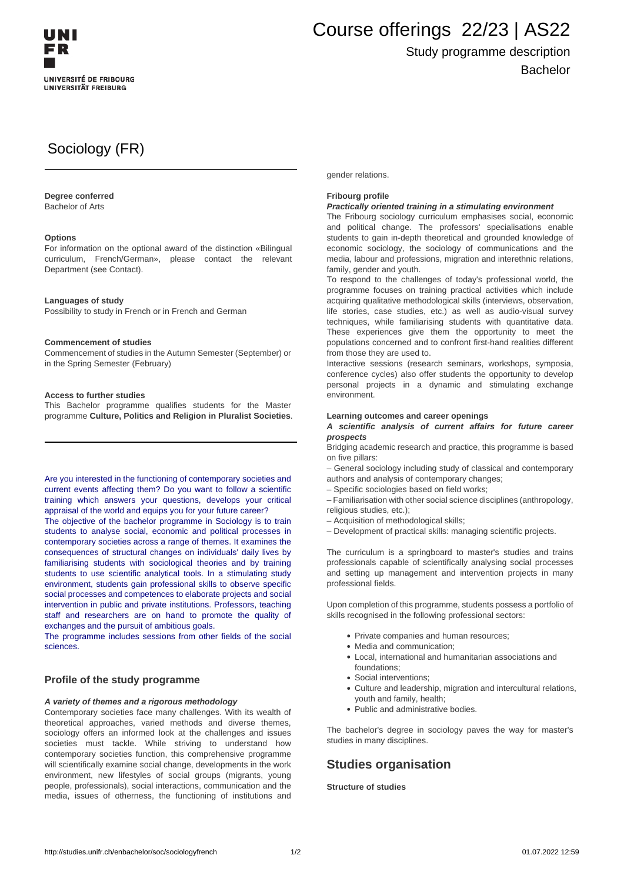

# Course offerings 22/23 | AS22

## Study programme description Bachelor

# Sociology (FR)

#### **Degree conferred**

Bachelor of Arts

#### **Options**

For information on the optional award of the distinction «Bilingual curriculum, French/German», please contact the relevant Department (see Contact).

#### **Languages of study**

Possibility to study in French or in French and German

#### **Commencement of studies**

Commencement of studies in the Autumn Semester (September) or in the Spring Semester (February)

#### **Access to further studies**

This Bachelor programme qualifies students for the Master programme **Culture, Politics and Religion in Pluralist Societies**.

Are you interested in the functioning of contemporary societies and current events affecting them? Do you want to follow a scientific training which answers your questions, develops your critical appraisal of the world and equips you for your future career?

The objective of the bachelor programme in Sociology is to train students to analyse social, economic and political processes in contemporary societies across a range of themes. It examines the consequences of structural changes on individuals' daily lives by familiarising students with sociological theories and by training students to use scientific analytical tools. In a stimulating study environment, students gain professional skills to observe specific social processes and competences to elaborate projects and social intervention in public and private institutions. Professors, teaching staff and researchers are on hand to promote the quality of exchanges and the pursuit of ambitious goals.

The programme includes sessions from other fields of the social sciences.

#### **Profile of the study programme**

#### **A variety of themes and a rigorous methodology**

Contemporary societies face many challenges. With its wealth of theoretical approaches, varied methods and diverse themes, sociology offers an informed look at the challenges and issues societies must tackle. While striving to understand how contemporary societies function, this comprehensive programme will scientifically examine social change, developments in the work environment, new lifestyles of social groups (migrants, young people, professionals), social interactions, communication and the media, issues of otherness, the functioning of institutions and gender relations.

#### **Fribourg profile**

#### **Practically oriented training in a stimulating environment**

The Fribourg sociology curriculum emphasises social, economic and political change. The professors' specialisations enable students to gain in-depth theoretical and grounded knowledge of economic sociology, the sociology of communications and the media, labour and professions, migration and interethnic relations, family, gender and youth.

To respond to the challenges of today's professional world, the programme focuses on training practical activities which include acquiring qualitative methodological skills (interviews, observation, life stories, case studies, etc.) as well as audio-visual survey techniques, while familiarising students with quantitative data. These experiences give them the opportunity to meet the populations concerned and to confront first-hand realities different from those they are used to.

Interactive sessions (research seminars, workshops, symposia, conference cycles) also offer students the opportunity to develop personal projects in a dynamic and stimulating exchange environment.

#### **Learning outcomes and career openings**

#### **A scientific analysis of current affairs for future career prospects**

Bridging academic research and practice, this programme is based on five pillars:

– General sociology including study of classical and contemporary authors and analysis of contemporary changes;

– Specific sociologies based on field works;

– Familiarisation with other social science disciplines (anthropology, religious studies, etc.);

– Acquisition of methodological skills;

– Development of practical skills: managing scientific projects.

The curriculum is a springboard to master's studies and trains professionals capable of scientifically analysing social processes and setting up management and intervention projects in many professional fields.

Upon completion of this programme, students possess a portfolio of skills recognised in the following professional sectors:

- Private companies and human resources;
- Media and communication;
- Local, international and humanitarian associations and foundations;
- Social interventions;
- Culture and leadership, migration and intercultural relations, youth and family, health;
- Public and administrative bodies.

The bachelor's degree in sociology paves the way for master's studies in many disciplines.

### **Studies organisation**

**Structure of studies**